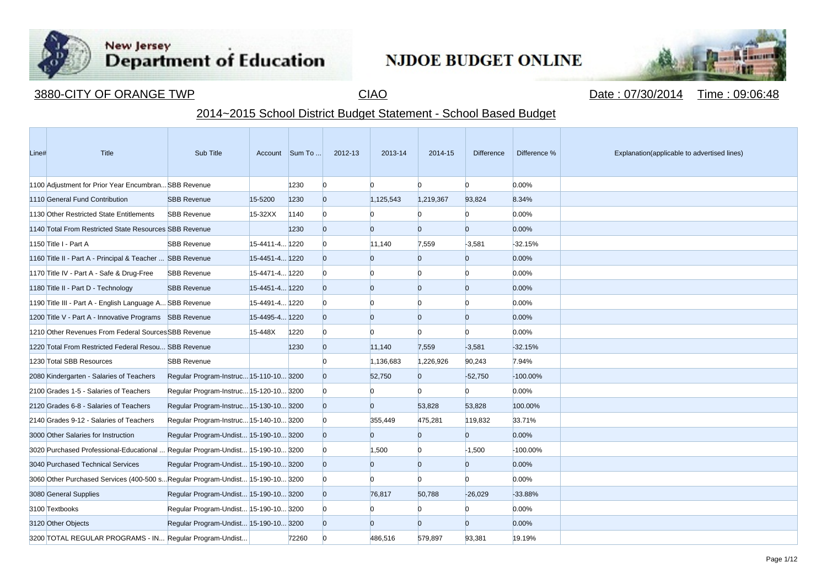

**Contract Contract** 

## New Jersey<br>Department of Education

## NJDOE BUDGET ONLINE



3880-CITY OF ORANGE TWP CIAO CIAO CIAO Date : 07/30/2014 Time : 09:06:48

## 2014~2015 School District Budget Statement - School Based Budget

| Line# | Title                                                                          | Sub Title                              |                | Account Sum To | 2012-13        | 2013-14   | 2014-15        | <b>Difference</b> | Difference % | Explanation(applicable to advertised lines) |
|-------|--------------------------------------------------------------------------------|----------------------------------------|----------------|----------------|----------------|-----------|----------------|-------------------|--------------|---------------------------------------------|
|       | 1100 Adjustment for Prior Year Encumbran SBB Revenue                           |                                        |                | 1230           | $\Omega$       | n.        | $\Omega$       | n                 | 0.00%        |                                             |
|       | 1110 General Fund Contribution                                                 | <b>SBB Revenue</b>                     | 15-5200        | 1230           | $\Omega$       | 1,125,543 | 1,219,367      | 93,824            | 8.34%        |                                             |
|       | 1130 Other Restricted State Entitlements                                       | <b>SBB Revenue</b>                     | 15-32XX        | 1140           |                | n         | $\overline{0}$ | $\Omega$          | 0.00%        |                                             |
|       | 1140 Total From Restricted State Resources SBB Revenue                         |                                        |                | 1230           |                | n         | $\Omega$       | $\Omega$          | 0.00%        |                                             |
|       | 1150 Title I - Part A                                                          | <b>SBB Revenue</b>                     | 15-4411-4 1220 |                |                | 11,140    | 7,559          | $-3,581$          | $-32.15%$    |                                             |
|       | 1160 Title II - Part A - Principal & Teacher  SBB Revenue                      |                                        | 15-4451-4 1220 |                | <sup>0</sup>   | $\Omega$  | $\overline{0}$ | $\overline{0}$    | 0.00%        |                                             |
|       | 1170 Title IV - Part A - Safe & Drug-Free                                      | <b>SBB Revenue</b>                     | 15-4471-4 1220 |                |                | n         | $\Omega$       | n                 | 0.00%        |                                             |
|       | 1180 Title II - Part D - Technology                                            | <b>SBB Revenue</b>                     | 15-4451-4 1220 |                |                | $\Omega$  | $\Omega$       | $\overline{0}$    | 0.00%        |                                             |
|       | 1190 Title III - Part A - English Language A SBB Revenue                       |                                        | 15-4491-4 1220 |                |                | n         | n              | n                 | 0.00%        |                                             |
|       | 1200 Title V - Part A - Innovative Programs SBB Revenue                        |                                        | 15-4495-4 1220 |                |                | $\Omega$  | $\overline{0}$ | $\overline{0}$    | 0.00%        |                                             |
|       | 1210 Other Revenues From Federal Sources SBB Revenue                           |                                        | 15-448X        | 1220           |                | n         | $\Omega$       | n                 | 0.00%        |                                             |
|       | 1220 Total From Restricted Federal Resou SBB Revenue                           |                                        |                | 1230           |                | 11,140    | 7,559          | $-3,581$          | $-32.15%$    |                                             |
|       | 1230 Total SBB Resources                                                       | <b>SBB Revenue</b>                     |                |                |                | 1,136,683 | 1,226,926      | 90,243            | 7.94%        |                                             |
|       | 2080 Kindergarten - Salaries of Teachers                                       | Regular Program-Instruc 15-110-10 3200 |                |                |                | 52,750    | $\overline{0}$ | $-52,750$         | $-100.00\%$  |                                             |
|       | 2100 Grades 1-5 - Salaries of Teachers                                         | Regular Program-Instruc 15-120-10 3200 |                |                |                | n         | $\overline{0}$ | $\Omega$          | 0.00%        |                                             |
|       | 2120 Grades 6-8 - Salaries of Teachers                                         | Regular Program-Instruc 15-130-10 3200 |                |                |                | $\Omega$  | 53,828         | 53,828            | 100.00%      |                                             |
|       | 2140 Grades 9-12 - Salaries of Teachers                                        | Regular Program-Instruc 15-140-10 3200 |                |                | <sup>0</sup>   | 355,449   | 475,281        | 119,832           | 33.71%       |                                             |
|       | 3000 Other Salaries for Instruction                                            | Regular Program-Undist 15-190-10 3200  |                |                | $\overline{0}$ | $\Omega$  | $\overline{0}$ | $\overline{0}$    | 0.00%        |                                             |
|       | 3020 Purchased Professional-Educational                                        | Regular Program-Undist 15-190-10 3200  |                |                |                | 1,500     | $\Omega$       | $-1,500$          | -100.00%     |                                             |
|       | 3040 Purchased Technical Services                                              | Regular Program-Undist 15-190-10 3200  |                |                |                | $\Omega$  | $\overline{0}$ | $\overline{0}$    | 0.00%        |                                             |
|       | 3060 Other Purchased Services (400-500 s Regular Program-Undist 15-190-10 3200 |                                        |                |                |                | n         | $\Omega$       | n                 | 0.00%        |                                             |
|       | 3080 General Supplies                                                          | Regular Program-Undist 15-190-10 3200  |                |                |                | 76,817    | 50,788         | $-26,029$         | $-33.88%$    |                                             |
|       | 3100 Textbooks                                                                 | Regular Program-Undist 15-190-10 3200  |                |                |                | n         | $\Omega$       | n                 | 0.00%        |                                             |
|       | 3120 Other Objects                                                             | Regular Program-Undist 15-190-10 3200  |                |                | $\overline{0}$ | $\Omega$  | $\overline{0}$ | $\Omega$          | 0.00%        |                                             |
|       | 3200 TOTAL REGULAR PROGRAMS - IN Regular Program-Undist                        |                                        |                | 72260          |                | 486,516   | 579,897        | 93,381            | 19.19%       |                                             |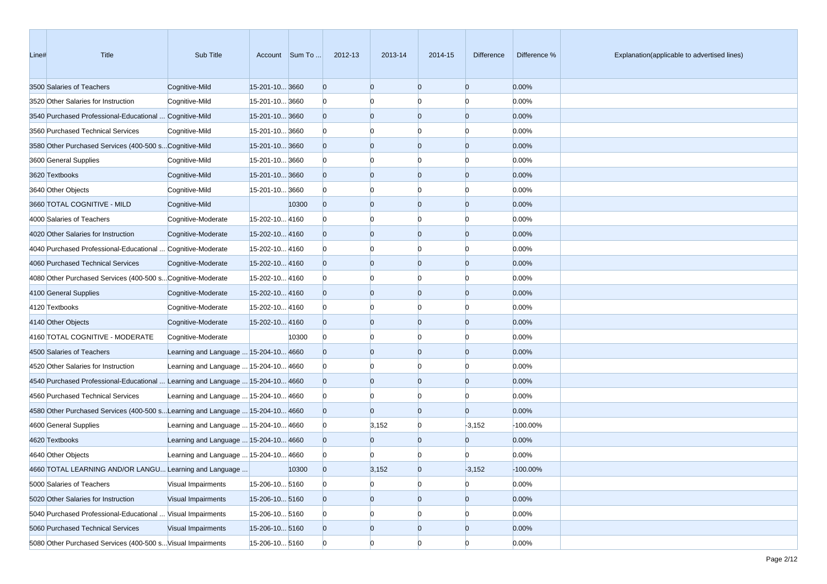| Line# | Title                                                                          | Sub Title                             |                | Account Sum To | 2012-13  | 2013-14        | 2014-15        | <b>Difference</b> | Difference % | Explanation(applicable to advertised lines) |
|-------|--------------------------------------------------------------------------------|---------------------------------------|----------------|----------------|----------|----------------|----------------|-------------------|--------------|---------------------------------------------|
|       | 3500 Salaries of Teachers                                                      | Cognitive-Mild                        | 15-201-10 3660 |                | $\Omega$ | $\overline{0}$ | $\overline{0}$ | $\overline{0}$    | 0.00%        |                                             |
|       | 3520 Other Salaries for Instruction                                            | Cognitive-Mild                        | 15-201-10 3660 |                |          |                | $\Omega$       | $\Omega$          | 0.00%        |                                             |
|       | 3540 Purchased Professional-Educational  Cognitive-Mild                        |                                       | 15-201-10 3660 |                |          | $\Omega$       | $\overline{0}$ | $\overline{0}$    | 0.00%        |                                             |
|       | 3560 Purchased Technical Services                                              | Cognitive-Mild                        | 15-201-10 3660 |                |          |                | $\Omega$       | $\Omega$          | 0.00%        |                                             |
|       | 3580 Other Purchased Services (400-500 s Cognitive-Mild                        |                                       | 15-201-10 3660 |                |          | $\Omega$       | $\overline{0}$ | $\overline{0}$    | 0.00%        |                                             |
|       | 3600 General Supplies                                                          | Cognitive-Mild                        | 15-201-10 3660 |                |          |                | $\Omega$       | $\Omega$          | 0.00%        |                                             |
|       | 3620 Textbooks                                                                 | Cognitive-Mild                        | 15-201-10 3660 |                |          | $\Omega$       | $\overline{0}$ | $\overline{0}$    | 0.00%        |                                             |
|       | 3640 Other Objects                                                             | Cognitive-Mild                        | 15-201-10 3660 |                |          |                | $\Omega$       | $\Omega$          | 0.00%        |                                             |
|       | 3660 TOTAL COGNITIVE - MILD                                                    | Cognitive-Mild                        |                | 10300          | $\Omega$ | $\Omega$       | $\overline{0}$ | $\overline{0}$    | 0.00%        |                                             |
|       | 4000 Salaries of Teachers                                                      | Cognitive-Moderate                    | 15-202-10 4160 |                |          |                | $\Omega$       | $\Omega$          | 0.00%        |                                             |
|       | 4020 Other Salaries for Instruction                                            | Cognitive-Moderate                    | 15-202-10 4160 |                |          | $\Omega$       | $\overline{0}$ | $\overline{0}$    | 0.00%        |                                             |
|       | 4040 Purchased Professional-Educational  Cognitive-Moderate                    |                                       | 15-202-10 4160 |                |          |                | $\Omega$       | $\Omega$          | 0.00%        |                                             |
|       | 4060 Purchased Technical Services                                              | Cognitive-Moderate                    | 15-202-10 4160 |                |          | 0              | $\overline{0}$ | $\overline{0}$    | 0.00%        |                                             |
|       | 4080 Other Purchased Services (400-500 s Cognitive-Moderate                    |                                       | 15-202-10 4160 |                |          |                | $\Omega$       | $\Omega$          | 0.00%        |                                             |
|       | 4100 General Supplies                                                          | Cognitive-Moderate                    | 15-202-10 4160 |                |          | $\Omega$       | $\overline{0}$ | $\overline{0}$    | 0.00%        |                                             |
|       | 4120 Textbooks                                                                 | Cognitive-Moderate                    | 15-202-10 4160 |                |          |                | $\Omega$       | $\Omega$          | 0.00%        |                                             |
|       | 4140 Other Objects                                                             | Cognitive-Moderate                    | 15-202-10 4160 |                |          | $\Omega$       | $\overline{0}$ | $\overline{0}$    | 0.00%        |                                             |
|       | 4160 TOTAL COGNITIVE - MODERATE                                                | Cognitive-Moderate                    |                | 10300          | $\Omega$ |                | $\Omega$       | $\Omega$          | 0.00%        |                                             |
|       | 4500 Salaries of Teachers                                                      | Learning and Language  15-204-10 4660 |                |                |          | 0              | $\overline{0}$ | $\overline{0}$    | 0.00%        |                                             |
|       | 4520 Other Salaries for Instruction                                            | Learning and Language  15-204-10 4660 |                |                |          |                | $\Omega$       | $\Omega$          | 0.00%        |                                             |
|       | 4540 Purchased Professional-Educational  Learning and Language  15-204-10 4660 |                                       |                |                |          | $\Omega$       | $\overline{0}$ | $\overline{0}$    | 0.00%        |                                             |
|       | 4560 Purchased Technical Services                                              | Learning and Language  15-204-10 4660 |                |                |          |                | $\Omega$       | $\Omega$          | 0.00%        |                                             |
|       | 4580 Other Purchased Services (400-500 sLearning and Language  15-204-10 4660  |                                       |                |                |          | $\Omega$       | $\overline{0}$ | $\Omega$          | 0.00%        |                                             |
|       | 4600 General Supplies                                                          | Learning and Language  15-204-10 4660 |                |                |          | 3,152          | $\overline{0}$ | $-3,152$          | -100.00%     |                                             |
|       | 4620 Textbooks                                                                 | Learning and Language  15-204-10 4660 |                |                |          | 0              | $\mathbf{0}$   | $\Omega$          | 0.00%        |                                             |
|       | 4640 Other Objects                                                             | Learning and Language  15-204-10 4660 |                |                |          |                |                |                   | 0.00%        |                                             |
|       | 4660 TOTAL LEARNING AND/OR LANGU Learning and Language                         |                                       |                | 10300          | $\Omega$ | 3,152          | $\Omega$       | $-3,152$          | -100.00%     |                                             |
|       | 5000 Salaries of Teachers                                                      | Visual Impairments                    | 15-206-10 5160 |                | $\bf{0}$ | n              | $\overline{0}$ | $\overline{0}$    | 0.00%        |                                             |
|       | 5020 Other Salaries for Instruction                                            | Visual Impairments                    | 15-206-10 5160 |                |          | 0              | $\overline{0}$ | $\overline{0}$    | 0.00%        |                                             |
|       | 5040 Purchased Professional-Educational  Visual Impairments                    |                                       | 15-206-10 5160 |                |          |                | $\overline{0}$ | $\overline{0}$    | 0.00%        |                                             |
|       | 5060 Purchased Technical Services                                              | Visual Impairments                    | 15-206-10 5160 |                |          |                | $\overline{0}$ | $\overline{0}$    | 0.00%        |                                             |
|       | 5080 Other Purchased Services (400-500 s Visual Impairments                    |                                       | 15-206-10 5160 |                |          | n              | $\overline{0}$ | $\Omega$          | 0.00%        |                                             |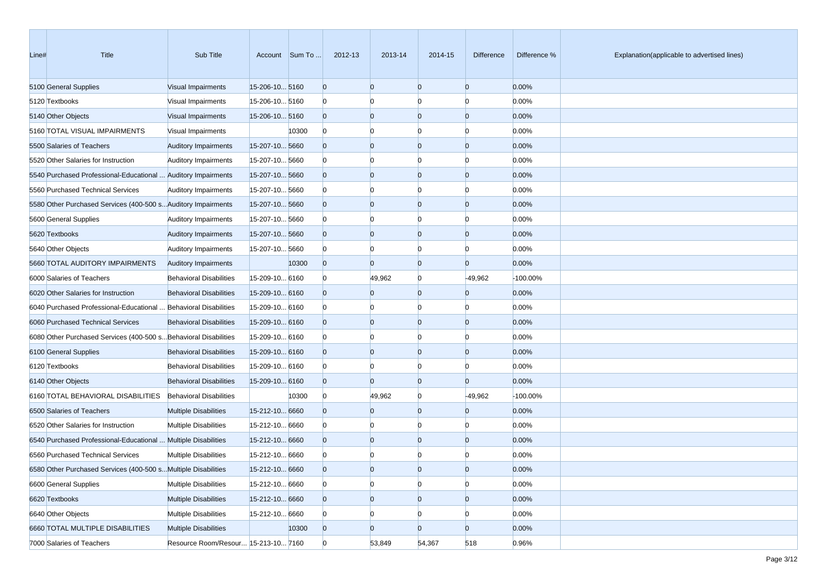| Line# | <b>Title</b>                                                     | Sub Title                           |                | Account Sum To | 2012-13        | 2013-14        | 2014-15        | <b>Difference</b> | Difference % | Explanation(applicable to advertised lines) |
|-------|------------------------------------------------------------------|-------------------------------------|----------------|----------------|----------------|----------------|----------------|-------------------|--------------|---------------------------------------------|
|       | 5100 General Supplies                                            | Visual Impairments                  | 15-206-10 5160 |                | $\overline{0}$ | $\overline{0}$ | $\Omega$       | $\overline{0}$    | 0.00%        |                                             |
|       | 5120 Textbooks                                                   | Visual Impairments                  | 15-206-10 5160 |                | O              |                | n              | $\Omega$          | 0.00%        |                                             |
|       | 5140 Other Objects                                               | Visual Impairments                  | 15-206-10 5160 |                | $\Omega$       | $\Omega$       | $\Omega$       | $\overline{0}$    | 0.00%        |                                             |
|       | 5160 TOTAL VISUAL IMPAIRMENTS                                    | Visual Impairments                  |                | 10300          | $\overline{0}$ |                | n              | $\Omega$          | 0.00%        |                                             |
|       | 5500 Salaries of Teachers                                        | <b>Auditory Impairments</b>         | 15-207-10 5660 |                | $\Omega$       | $\Omega$       | $\Omega$       | $\overline{0}$    | 0.00%        |                                             |
|       | 5520 Other Salaries for Instruction                              | <b>Auditory Impairments</b>         | 15-207-10 5660 |                | O              |                | n              | $\overline{0}$    | 0.00%        |                                             |
|       | 5540 Purchased Professional-Educational  Auditory Impairments    |                                     | 15-207-10 5660 |                | $\Omega$       | $\Omega$       | $\Omega$       | $\overline{0}$    | 0.00%        |                                             |
|       | 5560 Purchased Technical Services                                | <b>Auditory Impairments</b>         | 15-207-10 5660 |                | O              |                | n              | $\overline{0}$    | 0.00%        |                                             |
|       | 5580 Other Purchased Services (400-500 s Auditory Impairments    |                                     | 15-207-10 5660 |                | $\overline{0}$ | $\Omega$       | $\Omega$       | $\overline{0}$    | 0.00%        |                                             |
|       | 5600 General Supplies                                            | <b>Auditory Impairments</b>         | 15-207-10 5660 |                | O              |                | n              | $\Omega$          | 0.00%        |                                             |
|       | 5620 Textbooks                                                   | <b>Auditory Impairments</b>         | 15-207-10 5660 |                | $\Omega$       | $\Omega$       | $\Omega$       | $\overline{0}$    | 0.00%        |                                             |
|       | 5640 Other Objects                                               | <b>Auditory Impairments</b>         | 15-207-10 5660 |                | $\Omega$       |                | n              | $\Omega$          | 0.00%        |                                             |
|       | 5660 TOTAL AUDITORY IMPAIRMENTS                                  | <b>Auditory Impairments</b>         |                | 10300          | $\overline{0}$ | $\Omega$       | $\Omega$       | $\overline{0}$    | 0.00%        |                                             |
|       | 6000 Salaries of Teachers                                        | <b>Behavioral Disabilities</b>      | 15-209-10 6160 |                | O              | 49,962         | $\Omega$       | $-49,962$         | -100.00%     |                                             |
|       | 6020 Other Salaries for Instruction                              | <b>Behavioral Disabilities</b>      | 15-209-10 6160 |                | $\Omega$       | $\Omega$       | $\Omega$       | $\overline{0}$    | 0.00%        |                                             |
|       | 6040 Purchased Professional-Educational  Behavioral Disabilities |                                     | 15-209-10 6160 |                | O              |                | n              | $\bf{0}$          | 0.00%        |                                             |
|       | 6060 Purchased Technical Services                                | <b>Behavioral Disabilities</b>      | 15-209-10 6160 |                | $\Omega$       | $\Omega$       | 0              | $\overline{0}$    | 0.00%        |                                             |
|       | 6080 Other Purchased Services (400-500 s Behavioral Disabilities |                                     | 15-209-10 6160 |                |                |                | n              | $\Omega$          | 0.00%        |                                             |
|       | 6100 General Supplies                                            | <b>Behavioral Disabilities</b>      | 15-209-10 6160 |                | $\Omega$       | $\Omega$       | $\Omega$       | $\overline{0}$    | 0.00%        |                                             |
|       | 6120 Textbooks                                                   | <b>Behavioral Disabilities</b>      | 15-209-10 6160 |                | O              |                | n              | $\Omega$          | 0.00%        |                                             |
|       | 6140 Other Objects                                               | <b>Behavioral Disabilities</b>      | 15-209-10 6160 |                | $\overline{0}$ | $\Omega$       | $\overline{0}$ | $\overline{0}$    | 0.00%        |                                             |
|       | 6160 TOTAL BEHAVIORAL DISABILITIES Behavioral Disabilities       |                                     |                | 10300          | $\bf{0}$       | 49,962         | 0              | $-49,962$         | -100.00%     |                                             |
|       | 6500 Salaries of Teachers                                        | <b>Multiple Disabilities</b>        | 15-212-10 6660 |                | $\Omega$       | $\Omega$       | $\Omega$       | $\overline{0}$    | 0.00%        |                                             |
|       | 6520 Other Salaries for Instruction                              | <b>Multiple Disabilities</b>        | 15-212-10 6660 |                |                |                | n              | $\Omega$          | 0.00%        |                                             |
|       | 6540 Purchased Professional-Educational  Multiple Disabilities   |                                     | 15-212-10 6660 |                | $\Omega$       | $\Omega$       | 0              | $\overline{0}$    | 0.00%        |                                             |
|       | 6560 Purchased Technical Services                                | <b>Multiple Disabilities</b>        | 15-212-10 6660 |                |                |                |                |                   | 0.00%        |                                             |
|       | 6580 Other Purchased Services (400-500 s Multiple Disabilities   |                                     | 15-212-10 6660 |                | <sup>0</sup>   |                |                | $\Omega$          | 0.00%        |                                             |
|       | 6600 General Supplies                                            | <b>Multiple Disabilities</b>        | 15-212-10 6660 |                | $\overline{0}$ | $\Omega$       | $\overline{0}$ | $\overline{0}$    | 0.00%        |                                             |
|       | 6620 Textbooks                                                   | <b>Multiple Disabilities</b>        | 15-212-10 6660 |                | $\overline{0}$ | $\overline{0}$ | $\overline{0}$ | $\overline{0}$    | 0.00%        |                                             |
|       | 6640 Other Objects                                               | <b>Multiple Disabilities</b>        | 15-212-10 6660 |                | $\mathbf{0}$   |                | $\Omega$       | $\bf{0}$          | 0.00%        |                                             |
|       | 6660 TOTAL MULTIPLE DISABILITIES                                 | <b>Multiple Disabilities</b>        |                | 10300          | $\overline{0}$ | $\overline{0}$ | 0              | $\overline{0}$    | 0.00%        |                                             |
|       | 7000 Salaries of Teachers                                        | Resource Room/Resour 15-213-10 7160 |                |                | $\mathbf{0}$   | 53,849         | 54,367         | 518               | 0.96%        |                                             |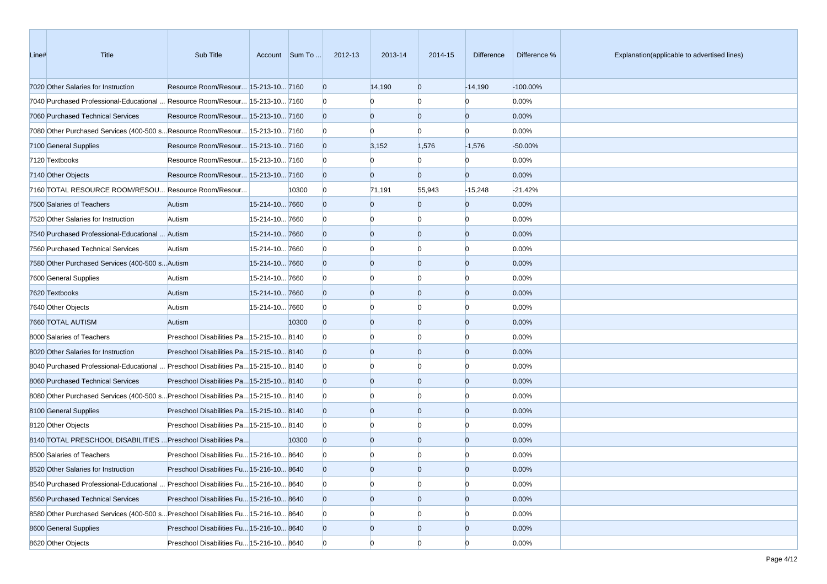| Line# | Title                                                                             | Sub Title                                |                | Account Sum To | 2012-13        | 2013-14        | 2014-15        | <b>Difference</b> | Difference % | Explanation(applicable to advertised lines) |
|-------|-----------------------------------------------------------------------------------|------------------------------------------|----------------|----------------|----------------|----------------|----------------|-------------------|--------------|---------------------------------------------|
|       | 7020 Other Salaries for Instruction                                               | Resource Room/Resour 15-213-10 7160      |                |                | $\overline{0}$ | 14,190         | $\overline{0}$ | $-14,190$         | $-100.00\%$  |                                             |
|       | 7040 Purchased Professional-Educational  Resource Room/Resour  15-213-10  7160    |                                          |                |                |                |                | <sup>0</sup>   | n                 | 0.00%        |                                             |
|       | 7060 Purchased Technical Services                                                 | Resource Room/Resour 15-213-10 7160      |                |                |                | $\overline{0}$ | $\overline{0}$ | $\overline{0}$    | 0.00%        |                                             |
|       | 7080 Other Purchased Services (400-500 s Resource Room/Resour  15-213-10  7160    |                                          |                |                |                |                | $\mathbf{0}$   | <sup>0</sup>      | 0.00%        |                                             |
|       | 7100 General Supplies                                                             | Resource Room/Resour 15-213-10 7160      |                |                | $\Omega$       | 3,152          | 1,576          | $-1,576$          | -50.00%      |                                             |
|       | 7120 Textbooks                                                                    | Resource Room/Resour 15-213-10 7160      |                |                | n              |                | 0              | n                 | 0.00%        |                                             |
|       | 7140 Other Objects                                                                | Resource Room/Resour 15-213-10 7160      |                |                |                | $\overline{0}$ | $\overline{0}$ | $\overline{0}$    | 0.00%        |                                             |
|       | 7160 TOTAL RESOURCE ROOM/RESOU Resource Room/Resour                               |                                          |                | 10300          | $\Omega$       | 71,191         | 55,943         | $-15,248$         | $-21.42%$    |                                             |
|       | 7500 Salaries of Teachers                                                         | Autism                                   | 15-214-10 7660 |                |                | $\mathbf{0}$   | $\mathbf{0}$   | $\Omega$          | 0.00%        |                                             |
|       | 7520 Other Salaries for Instruction                                               | Autism                                   | 15-214-10 7660 |                |                | O              | <sup>0</sup>   | $\Omega$          | 0.00%        |                                             |
|       | 7540 Purchased Professional-Educational  Autism                                   |                                          | 15-214-10 7660 |                |                | $\overline{0}$ | $\overline{0}$ | $\overline{0}$    | 0.00%        |                                             |
|       | 7560 Purchased Technical Services                                                 | Autism                                   | 15-214-10 7660 |                |                |                | n              | n                 | 0.00%        |                                             |
|       | 7580 Other Purchased Services (400-500 s Autism                                   |                                          | 15-214-10 7660 |                |                | $\Omega$       | $\Omega$       | $\overline{0}$    | 0.00%        |                                             |
|       | 7600 General Supplies                                                             | Autism                                   | 15-214-10 7660 |                |                |                | n              | $\Omega$          | 0.00%        |                                             |
|       | 7620 Textbooks                                                                    | Autism                                   | 15-214-10 7660 |                |                | $\Omega$       | $\overline{0}$ | $\overline{0}$    | 0.00%        |                                             |
|       | 7640 Other Objects                                                                | Autism                                   | 15-214-10 7660 |                |                |                | <sup>0</sup>   | $\Omega$          | 0.00%        |                                             |
|       | 7660 TOTAL AUTISM                                                                 | Autism                                   |                | 10300          | <sup>0</sup>   | $\overline{0}$ | $\overline{0}$ | $\overline{0}$    | 0.00%        |                                             |
|       | 8000 Salaries of Teachers                                                         | Preschool Disabilities Pa 15-215-10 8140 |                |                |                |                | 0              | $\Omega$          | 0.00%        |                                             |
|       | 8020 Other Salaries for Instruction                                               | Preschool Disabilities Pa 15-215-10 8140 |                |                |                | $\Omega$       | $\overline{0}$ | $\overline{0}$    | 0.00%        |                                             |
|       | 8040 Purchased Professional-Educational  Preschool Disabilities Pa15-215-10 8140  |                                          |                |                |                |                | n              | n                 | 0.00%        |                                             |
|       | 8060 Purchased Technical Services                                                 | Preschool Disabilities Pa 15-215-10 8140 |                |                |                | $\Omega$       | $\Omega$       | $\overline{0}$    | 0.00%        |                                             |
|       | 8080 Other Purchased Services (400-500 s Preschool Disabilities Pa 15-215-10 8140 |                                          |                |                |                |                | n              | $\Omega$          | 0.00%        |                                             |
|       | 8100 General Supplies                                                             | Preschool Disabilities Pa 15-215-10 8140 |                |                |                | $\Omega$       | $\overline{0}$ | $\overline{0}$    | 0.00%        |                                             |
|       | 8120 Other Objects                                                                | Preschool Disabilities Pa 15-215-10 8140 |                |                |                |                | <sup>0</sup>   | $\Omega$          | 0.00%        |                                             |
|       | 8140 TOTAL PRESCHOOL DISABILITIES  Preschool Disabilities Pa                      |                                          |                | 10300          | $\Omega$       | $\overline{0}$ | $\overline{0}$ | $\overline{0}$    | 0.00%        |                                             |
|       | 8500 Salaries of Teachers                                                         | Preschool Disabilities Fu 15-216-10 8640 |                |                |                |                | n              | O                 | 0.00%        |                                             |
|       | 8520 Other Salaries for Instruction                                               | Preschool Disabilities Fu 15-216-10 8640 |                |                |                |                | n              | $\Omega$          | 0.00%        |                                             |
|       | 8540 Purchased Professional-Educational  Preschool Disabilities Fu 15-216-10 8640 |                                          |                |                | $\Omega$       | 0              | $\mathbf{0}$   | $\overline{0}$    | 0.00%        |                                             |
|       | 8560 Purchased Technical Services                                                 | Preschool Disabilities Fu 15-216-10 8640 |                |                |                | $\overline{0}$ | $\overline{0}$ | $\overline{0}$    | 0.00%        |                                             |
|       | 8580 Other Purchased Services (400-500 s Preschool Disabilities Fu 15-216-10 8640 |                                          |                |                | $\Omega$       |                | 0              | $\overline{0}$    | 0.00%        |                                             |
|       | 8600 General Supplies                                                             | Preschool Disabilities Fu 15-216-10 8640 |                |                |                | $\overline{0}$ | $\overline{0}$ | $\overline{0}$    | 0.00%        |                                             |
|       | 8620 Other Objects                                                                | Preschool Disabilities Fu 15-216-10 8640 |                |                | $\Omega$       | $\overline{0}$ | $\overline{0}$ | $\overline{0}$    | 0.00%        |                                             |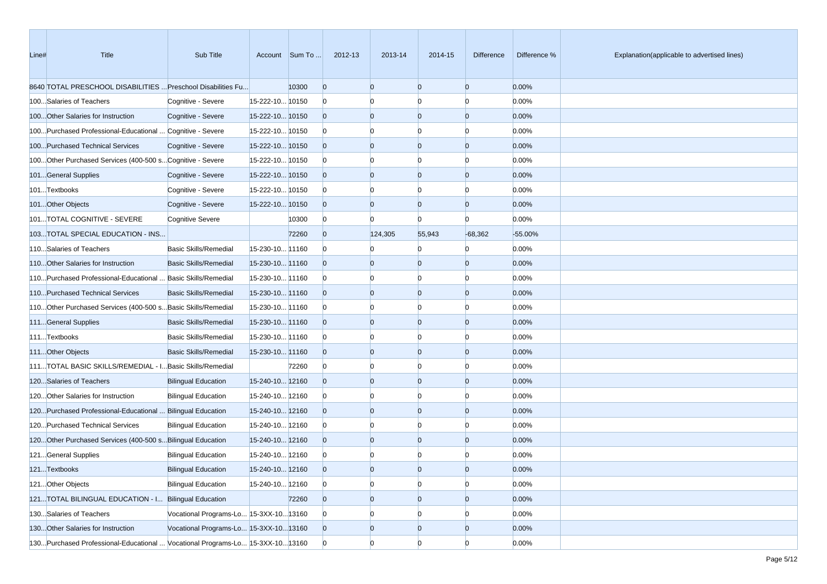| Line# | <b>Title</b>                                                                    | Sub Title                              |                 | Account Sum To | 2012-13        | 2013-14        | 2014-15        | <b>Difference</b> | Difference % | Explanation(applicable to advertised lines) |
|-------|---------------------------------------------------------------------------------|----------------------------------------|-----------------|----------------|----------------|----------------|----------------|-------------------|--------------|---------------------------------------------|
|       | 8640 TOTAL PRESCHOOL DISABILITIES  Preschool Disabilities Fu                    |                                        |                 | 10300          | $\overline{0}$ | $\overline{0}$ | $\overline{0}$ | $\overline{0}$    | 0.00%        |                                             |
|       | 100Salaries of Teachers                                                         | Cognitive - Severe                     | 15-222-10 10150 |                | O              | $\Omega$       | <sup>0</sup>   | $\Omega$          | 0.00%        |                                             |
|       | 100 Other Salaries for Instruction                                              | Cognitive - Severe                     | 15-222-10 10150 |                |                | $\overline{0}$ | $\overline{0}$ | $\overline{0}$    | 0.00%        |                                             |
|       | 100 Purchased Professional-Educational  Cognitive - Severe                      |                                        | 15-222-10 10150 |                | n              |                | <sup>0</sup>   | $\Omega$          | 0.00%        |                                             |
|       | 100Purchased Technical Services                                                 | Cognitive - Severe                     | 15-222-10 10150 |                |                | $\overline{0}$ | $\overline{0}$ | $\overline{0}$    | 0.00%        |                                             |
|       | 100 Other Purchased Services (400-500 s Cognitive - Severe                      |                                        | 15-222-10 10150 |                | n              |                | <sup>0</sup>   | $\Omega$          | 0.00%        |                                             |
|       | 101General Supplies                                                             | Cognitive - Severe                     | 15-222-10 10150 |                |                | $\overline{0}$ | $\overline{0}$ | $\overline{0}$    | 0.00%        |                                             |
|       | 101Textbooks                                                                    | Cognitive - Severe                     | 15-222-10 10150 |                | $\Omega$       | $\Omega$       | <sup>0</sup>   | $\Omega$          | 0.00%        |                                             |
|       | 101Other Objects                                                                | Cognitive - Severe                     | 15-222-10 10150 |                | $\Omega$       | $\overline{0}$ | $\overline{0}$ | $\overline{0}$    | 0.00%        |                                             |
|       | 101TOTAL COGNITIVE - SEVERE                                                     | <b>Cognitive Severe</b>                |                 | 10300          | $\Omega$       | $\Omega$       | $\overline{0}$ | $\Omega$          | 0.00%        |                                             |
|       | 103TOTAL SPECIAL EDUCATION - INS                                                |                                        |                 | 72260          | $\Omega$       | 124,305        | 55,943         | $-68,362$         | -55.00%      |                                             |
|       | 110Salaries of Teachers                                                         | <b>Basic Skills/Remedial</b>           | 15-230-10 11160 |                | n              |                | n              | $\Omega$          | 0.00%        |                                             |
|       | 110 Other Salaries for Instruction                                              | <b>Basic Skills/Remedial</b>           | 15-230-10 11160 |                |                | $\overline{0}$ | $\overline{0}$ | $\overline{0}$    | 0.00%        |                                             |
|       | 110 Purchased Professional-Educational  Basic Skills/Remedial                   |                                        | 15-230-10 11160 |                | n              |                | <sup>0</sup>   | $\Omega$          | 0.00%        |                                             |
|       | 110 Purchased Technical Services                                                | <b>Basic Skills/Remedial</b>           | 15-230-10 11160 |                |                | $\overline{0}$ | $\overline{0}$ | $\overline{0}$    | 0.00%        |                                             |
|       | 110 Other Purchased Services (400-500 s Basic Skills/Remedial                   |                                        | 15-230-10 11160 |                | $\Omega$       | $\Omega$       | <sup>0</sup>   | $\Omega$          | 0.00%        |                                             |
|       | 111General Supplies                                                             | <b>Basic Skills/Remedial</b>           | 15-230-10 11160 |                | $\Omega$       | $\overline{0}$ | $\overline{0}$ | $\overline{0}$    | 0.00%        |                                             |
|       | 111Textbooks                                                                    | <b>Basic Skills/Remedial</b>           | 15-230-10 11160 |                | $\Omega$       | O              | <sup>0</sup>   | $\Omega$          | 0.00%        |                                             |
|       | 111 Other Objects                                                               | <b>Basic Skills/Remedial</b>           | 15-230-10 11160 |                | <sup>0</sup>   | $\overline{0}$ | $\overline{0}$ | $\overline{0}$    | 0.00%        |                                             |
|       | 111TOTAL BASIC SKILLS/REMEDIAL - I Basic Skills/Remedial                        |                                        |                 | 72260          | n              |                | <sup>0</sup>   | $\Omega$          | 0.00%        |                                             |
|       | 120Salaries of Teachers                                                         | <b>Bilingual Education</b>             | 15-240-10 12160 |                |                | $\Omega$       | $\overline{0}$ | $\overline{0}$    | 0.00%        |                                             |
|       | 120 Other Salaries for Instruction                                              | <b>Bilingual Education</b>             | 15-240-10 12160 |                |                |                | <sup>0</sup>   | $\Omega$          | 0.00%        |                                             |
|       | 120 Purchased Professional-Educational  Bilingual Education                     |                                        | 15-240-10 12160 |                |                | $\overline{0}$ | $\overline{0}$ | $\overline{0}$    | 0.00%        |                                             |
|       | 120 Purchased Technical Services                                                | <b>Bilingual Education</b>             | 15-240-10 12160 |                | $\Omega$       | $\Omega$       | <sup>0</sup>   | $\Omega$          | 0.00%        |                                             |
|       | 120 Other Purchased Services (400-500 s Bilingual Education                     |                                        | 15-240-10 12160 |                | $\Omega$       | $\overline{0}$ | $\overline{0}$ | $\overline{0}$    | 0.00%        |                                             |
|       | 121General Supplies                                                             | <b>Bilingual Education</b>             | 15-240-10 12160 |                |                |                | 0              | $\Omega$          | 0.00%        |                                             |
|       | 121Textbooks                                                                    | <b>Bilingual Education</b>             | 15-240-10 12160 |                | $\Omega$       | $\Omega$       | <sup>o</sup>   | $\Omega$          | 0.00%        |                                             |
|       | 121Other Objects                                                                | <b>Bilingual Education</b>             | 15-240-10 12160 |                | $\bf{0}$       | $\Omega$       | $\overline{0}$ | $\overline{0}$    | 0.00%        |                                             |
|       | 121TOTAL BILINGUAL EDUCATION - I Bilingual Education                            |                                        |                 | 72260          | $\overline{0}$ | $\overline{0}$ | $\overline{0}$ | $\overline{0}$    | 0.00%        |                                             |
|       | 130Salaries of Teachers                                                         | Vocational Programs-Lo 15-3XX-10 13160 |                 |                | $\overline{0}$ |                | $\mathbf{0}$   | $\overline{0}$    | 0.00%        |                                             |
|       | 130 Other Salaries for Instruction                                              | Vocational Programs-Lo 15-3XX-10 13160 |                 |                |                | $\overline{0}$ | $\overline{0}$ | $\overline{0}$    | 0.00%        |                                             |
|       | 130. Purchased Professional-Educational  Vocational Programs-Lo 15-3XX-10 13160 |                                        |                 |                | $\overline{0}$ | $\overline{0}$ | $\overline{0}$ | $\overline{0}$    | 0.00%        |                                             |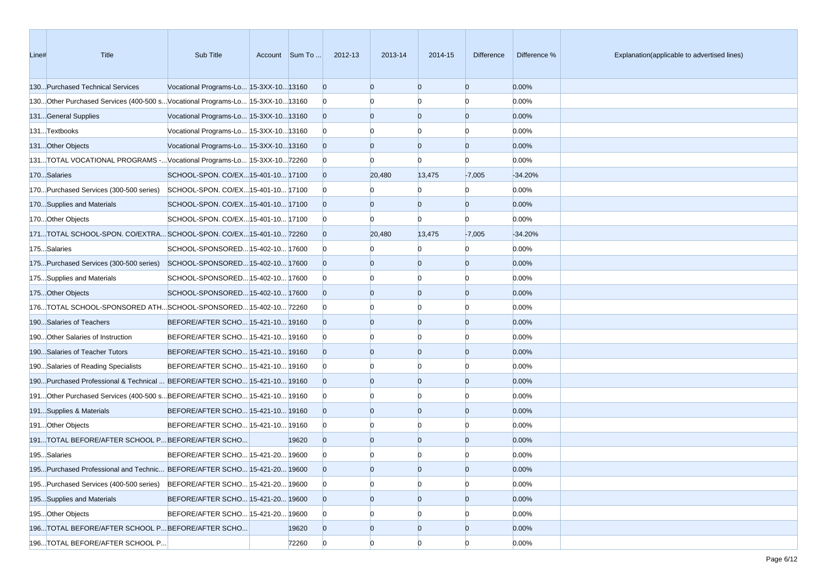| Line# | Title                                                                        | Sub Title                             | Account Sum To | 2012-13        | 2013-14  | 2014-15        | <b>Difference</b> | Difference % | Explanation(applicable to advertised lines) |
|-------|------------------------------------------------------------------------------|---------------------------------------|----------------|----------------|----------|----------------|-------------------|--------------|---------------------------------------------|
|       | 130Purchased Technical Services                                              | Vocational Programs-Lo 15-3XX-1013160 |                | $\overline{0}$ | $\Omega$ | $\Omega$       | $\overline{0}$    | 0.00%        |                                             |
|       | 130Other Purchased Services (400-500 sVocational Programs-Lo 15-3XX-10 13160 |                                       |                | $\overline{0}$ |          | n              | $\Omega$          | 0.00%        |                                             |
|       | 131General Supplies                                                          | Vocational Programs-Lo 15-3XX-1013160 |                | $\overline{0}$ | $\Omega$ | $\Omega$       | $\overline{0}$    | 0.00%        |                                             |
|       | 131Textbooks                                                                 | Vocational Programs-Lo 15-3XX-1013160 |                | $\mathbf{0}$   |          | O              | $\Omega$          | 0.00%        |                                             |
|       | 131Other Objects                                                             | Vocational Programs-Lo 15-3XX-1013160 |                | $\overline{0}$ | $\Omega$ | $\Omega$       | $\overline{0}$    | 0.00%        |                                             |
|       | 131TOTAL VOCATIONAL PROGRAMS -Vocational Programs-Lo 15-3XX-1072260          |                                       |                | $\overline{0}$ |          | n              | $\Omega$          | 0.00%        |                                             |
|       | 170Salaries                                                                  | SCHOOL-SPON. CO/EX15-401-10 17100     |                | $\overline{0}$ | 20,480   | 13,475         | $-7,005$          | $-34.20%$    |                                             |
|       | 170Purchased Services (300-500 series)                                       | SCHOOL-SPON. CO/EX 15-401-10 17100    |                | $\overline{0}$ |          |                | $\Omega$          | 0.00%        |                                             |
|       | 170Supplies and Materials                                                    | SCHOOL-SPON. CO/EX15-401-10 17100     |                | $\overline{0}$ |          | 0              | $\Omega$          | 0.00%        |                                             |
|       | 170 Other Objects                                                            | SCHOOL-SPON. CO/EX15-401-10 17100     |                | $\overline{0}$ |          | n              | $\Omega$          | 0.00%        |                                             |
|       | 171TOTAL SCHOOL-SPON. CO/EXTRA SCHOOL-SPON. CO/EX15-401-10 72260             |                                       |                | $\overline{0}$ | 20,480   | 13,475         | $-7,005$          | $-34.20%$    |                                             |
|       | 175Salaries                                                                  | SCHOOL-SPONSORED 15-402-10 17600      |                | $\bf{0}$       |          |                | $\Omega$          | 0.00%        |                                             |
|       | 175Purchased Services (300-500 series)                                       | SCHOOL-SPONSORED 15-402-10 17600      |                | $\overline{0}$ |          | O              | $\overline{0}$    | 0.00%        |                                             |
|       | 175Supplies and Materials                                                    | SCHOOL-SPONSORED 15-402-10 17600      |                | $\overline{0}$ |          | n              | $\Omega$          | 0.00%        |                                             |
|       | 175Other Objects                                                             | SCHOOL-SPONSORED15-402-1017600        |                | $\overline{0}$ | $\Omega$ | $\Omega$       | $\overline{0}$    | 0.00%        |                                             |
|       | 176TOTAL SCHOOL-SPONSORED ATHSCHOOL-SPONSORED15-402-10 72260                 |                                       |                | $\overline{0}$ |          | n              | $\Omega$          | 0.00%        |                                             |
|       | 190Salaries of Teachers                                                      | BEFORE/AFTER SCHO 15-421-10 19160     |                | $\overline{0}$ |          | 0              | $\overline{0}$    | 0.00%        |                                             |
|       | 190 Other Salaries of Instruction                                            | BEFORE/AFTER SCHO 15-421-10 19160     |                | $\overline{0}$ |          |                | $\Omega$          | 0.00%        |                                             |
|       | 190Salaries of Teacher Tutors                                                | BEFORE/AFTER SCHO 15-421-10 19160     |                | $\overline{0}$ |          | 0              | $\overline{0}$    | 0.00%        |                                             |
|       | 190 Salaries of Reading Specialists                                          | BEFORE/AFTER SCHO 15-421-10 19160     |                | $\overline{0}$ |          |                | n                 | 0.00%        |                                             |
|       | 190Purchased Professional & Technical  BEFORE/AFTER SCHO 15-421-10 19160     |                                       |                | $\overline{0}$ |          | 0              | $\overline{0}$    | 0.00%        |                                             |
|       | 191. Other Purchased Services (400-500 s BEFORE/AFTER SCHO 15-421-10 19160   |                                       |                | $\overline{0}$ |          |                | $\Omega$          | 0.00%        |                                             |
|       | 191Supplies & Materials                                                      | BEFORE/AFTER SCHO 15-421-10 19160     |                | $\overline{0}$ | $\Omega$ | $\Omega$       | $\overline{0}$    | 0.00%        |                                             |
|       | 191 Other Objects                                                            | BEFORE/AFTER SCHO 15-421-10 19160     |                | $\overline{0}$ |          | n              | $\Omega$          | 0.00%        |                                             |
|       | 191TOTAL BEFORE/AFTER SCHOOL PBEFORE/AFTER SCHO                              |                                       | 19620          | $\overline{0}$ | $\Omega$ | $\Omega$       | $\overline{0}$    | 0.00%        |                                             |
|       | 195Salaries                                                                  | BEFORE/AFTER SCHO 15-421-20 19600     |                | $\overline{0}$ |          |                | n                 | 0.00%        |                                             |
|       | 195Purchased Professional and Technic BEFORE/AFTER SCHO 15-421-20 19600      |                                       |                | $\Omega$       |          |                | $\Omega$          | 0.00%        |                                             |
|       | 195Purchased Services (400-500 series)                                       | BEFORE/AFTER SCHO 15-421-20 19600     |                | $\mathbf{0}$   | n        | $\overline{0}$ | $\overline{0}$    | 0.00%        |                                             |
|       | 195Supplies and Materials                                                    | BEFORE/AFTER SCHO 15-421-20 19600     |                | $\overline{0}$ | $\Omega$ | $\overline{0}$ | $\overline{0}$    | 0.00%        |                                             |
|       | 195Other Objects                                                             | BEFORE/AFTER SCHO 15-421-20 19600     |                | $\overline{0}$ |          | 0              | $\overline{0}$    | 0.00%        |                                             |
|       | 196. TOTAL BEFORE/AFTER SCHOOL P BEFORE/AFTER SCHO                           |                                       | 19620          | $\overline{0}$ |          | $\overline{0}$ | $\overline{0}$    | 0.00%        |                                             |
|       | 196TOTAL BEFORE/AFTER SCHOOL P                                               |                                       | 72260          | $\overline{0}$ | $\Omega$ | $\overline{0}$ | $\overline{0}$    | 0.00%        |                                             |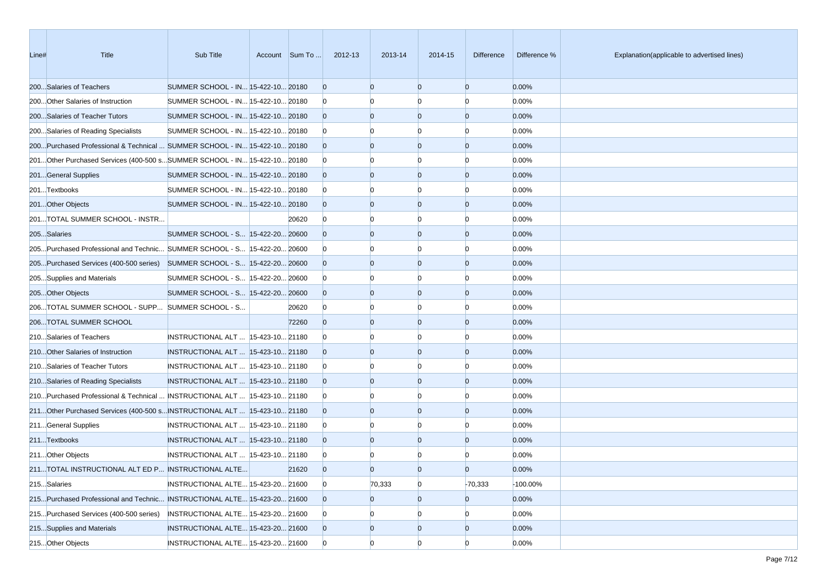| Line# | Title                                                                       | Sub Title                           | Account Sum To | 2012-13        | 2013-14        | 2014-15        | <b>Difference</b> | Difference % | Explanation(applicable to advertised lines) |
|-------|-----------------------------------------------------------------------------|-------------------------------------|----------------|----------------|----------------|----------------|-------------------|--------------|---------------------------------------------|
|       | 200Salaries of Teachers                                                     | SUMMER SCHOOL - IN 15-422-10 20180  |                | $\Omega$       | $\Omega$       | $\overline{0}$ | $\overline{0}$    | 0.00%        |                                             |
|       | 200 Other Salaries of Instruction                                           | SUMMER SCHOOL - IN 15-422-10 20180  |                |                |                | n              | n                 | 0.00%        |                                             |
|       | 200Salaries of Teacher Tutors                                               | SUMMER SCHOOL - IN 15-422-10 20180  |                |                | $\Omega$       | $\overline{0}$ | $\overline{0}$    | 0.00%        |                                             |
|       | 200Salaries of Reading Specialists                                          | SUMMER SCHOOL - IN 15-422-10 20180  |                | $\Omega$       |                | n              | n                 | 0.00%        |                                             |
|       | 200Purchased Professional & Technical  SUMMER SCHOOL - IN 15-422-10 20180   |                                     |                |                | $\Omega$       | $\overline{0}$ | $\overline{0}$    | 0.00%        |                                             |
|       | 201. Other Purchased Services (400-500 s SUMMER SCHOOL - IN 15-422-10 20180 |                                     |                | n              |                | <sup>0</sup>   | $\Omega$          | 0.00%        |                                             |
|       | 201General Supplies                                                         | SUMMER SCHOOL - IN 15-422-10 20180  |                |                | $\Omega$       | $\overline{0}$ | $\overline{0}$    | 0.00%        |                                             |
|       | 201Textbooks                                                                | SUMMER SCHOOL - IN 15-422-10 20180  |                | n              |                | n              | n                 | 0.00%        |                                             |
|       | 201Other Objects                                                            | SUMMER SCHOOL - IN 15-422-10 20180  |                |                | $\Omega$       | $\overline{0}$ | $\overline{0}$    | 0.00%        |                                             |
|       | 201TOTAL SUMMER SCHOOL - INSTR                                              |                                     | 20620          |                |                | n              | n                 | 0.00%        |                                             |
|       | 205Salaries                                                                 | SUMMER SCHOOL - S 15-422-20 20600   |                |                | $\Omega$       | $\overline{0}$ | $\overline{0}$    | 0.00%        |                                             |
|       | 205. Purchased Professional and Technic SUMMER SCHOOL - S 15-422-20 20600   |                                     |                |                |                | n              | n                 | 0.00%        |                                             |
|       | 205. Purchased Services (400-500 series) SUMMER SCHOOL - S 15-422-20 20600  |                                     |                |                | $\Omega$       | $\overline{0}$ | $\overline{0}$    | 0.00%        |                                             |
|       | 205Supplies and Materials                                                   | SUMMER SCHOOL - S 15-422-20 20600   |                | O              |                | n              | $\Omega$          | 0.00%        |                                             |
|       | 205Other Objects                                                            | SUMMER SCHOOL - S 15-422-20 20600   |                |                | $\Omega$       | $\overline{0}$ | $\overline{0}$    | 0.00%        |                                             |
|       | 206TOTAL SUMMER SCHOOL - SUPP SUMMER SCHOOL - S                             |                                     | 20620          |                |                | n              | n                 | 0.00%        |                                             |
|       | 206TOTAL SUMMER SCHOOL                                                      |                                     | 72260          |                | $\Omega$       | $\overline{0}$ | $\overline{0}$    | 0.00%        |                                             |
|       | 210Salaries of Teachers                                                     | INSTRUCTIONAL ALT   15-423-10 21180 |                |                |                | n              | n                 | 0.00%        |                                             |
|       | 210 Other Salaries of Instruction                                           | INSTRUCTIONAL ALT   15-423-10 21180 |                |                | $\Omega$       | $\overline{0}$ | $\overline{0}$    | 0.00%        |                                             |
|       | 210Salaries of Teacher Tutors                                               | INSTRUCTIONAL ALT   15-423-10 21180 |                | n              |                | n              | n                 | 0.00%        |                                             |
|       | 210Salaries of Reading Specialists                                          | INSTRUCTIONAL ALT   15-423-10 21180 |                |                | $\Omega$       | $\overline{0}$ | $\overline{0}$    | 0.00%        |                                             |
|       | 210Purchased Professional & Technical  INSTRUCTIONAL ALT  15-423-10 21180   |                                     |                |                |                | n              | $\Omega$          | 0.00%        |                                             |
|       | 211Other Purchased Services (400-500 s INSTRUCTIONAL ALT   15-423-10 21180  |                                     |                |                | $\Omega$       | $\overline{0}$ | $\overline{0}$    | 0.00%        |                                             |
|       | 211General Supplies                                                         | INSTRUCTIONAL ALT  15-423-10 21180  |                | $\Omega$       |                | n              | n                 | 0.00%        |                                             |
|       | 211Textbooks                                                                | INSTRUCTIONAL ALT   15-423-10 21180 |                |                | $\Omega$       | $\overline{0}$ | $\overline{0}$    | 0.00%        |                                             |
|       | 211 Other Objects                                                           | INSTRUCTIONAL ALT   15-423-10 21180 |                |                |                | n              |                   | 0.00%        |                                             |
|       | 211TOTAL INSTRUCTIONAL ALT ED P INSTRUCTIONAL ALTE                          |                                     | 21620          | $\Omega$       | $\Omega$       | n              | $\Omega$          | 0.00%        |                                             |
|       | 215Salaries                                                                 | INSTRUCTIONAL ALTE 15-423-20 21600  |                | $\overline{0}$ | 70,333         | $\mathbf{0}$   | $-70,333$         | -100.00%     |                                             |
|       | 215. Purchased Professional and Technic INSTRUCTIONAL ALTE 15-423-20 21600  |                                     |                |                | $\overline{0}$ | $\overline{0}$ | $\overline{0}$    | 0.00%        |                                             |
|       | 215 Purchased Services (400-500 series)                                     | INSTRUCTIONAL ALTE 15-423-20 21600  |                | $\bf{0}$       |                | 0              | $\overline{0}$    | 0.00%        |                                             |
|       | 215Supplies and Materials                                                   | INSTRUCTIONAL ALTE 15-423-20 21600  |                |                | $\overline{0}$ | $\overline{0}$ | $\overline{0}$    | 0.00%        |                                             |
|       | 215Other Objects                                                            | INSTRUCTIONAL ALTE 15-423-20 21600  |                |                | $\Omega$       | $\overline{0}$ | $\Omega$          | 0.00%        |                                             |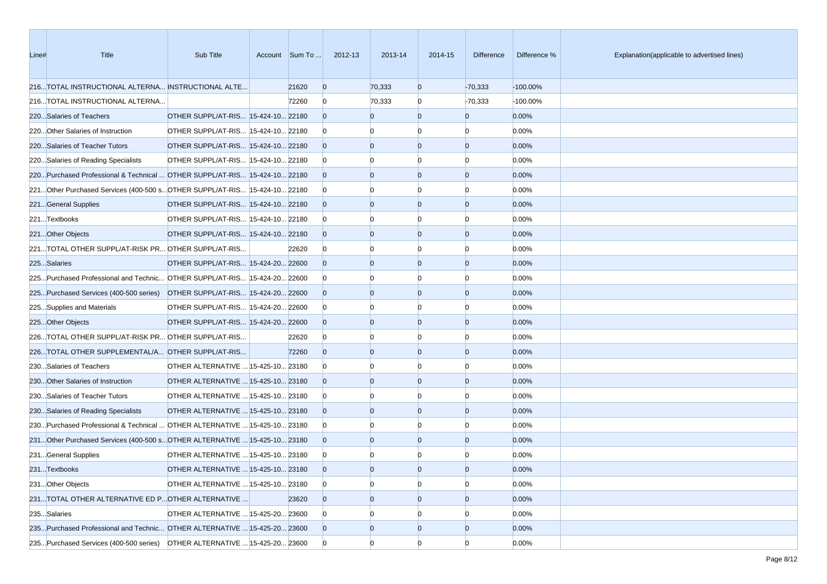| Line# | Title                                                                        | Sub Title                          | Account Sum To | 2012-13      | 2013-14        | 2014-15        | <b>Difference</b> | Difference % | Explanation(applicable to advertised lines) |
|-------|------------------------------------------------------------------------------|------------------------------------|----------------|--------------|----------------|----------------|-------------------|--------------|---------------------------------------------|
|       | 216TOTAL INSTRUCTIONAL ALTERNA INSTRUCTIONAL ALTE                            |                                    | 21620          | $\mathbf{0}$ | 70,333         | $\mathbf{0}$   | $-70,333$         | -100.00%     |                                             |
|       | 216TOTAL INSTRUCTIONAL ALTERNA                                               |                                    | 72260          | $\Omega$     | 70,333         | $\overline{0}$ | $-70,333$         | -100.00%     |                                             |
|       | 220Salaries of Teachers                                                      | OTHER SUPPL/AT-RIS 15-424-10 22180 |                |              | O              | $\mathbf{0}$   | $\overline{0}$    | 0.00%        |                                             |
|       | 220 Other Salaries of Instruction                                            | OTHER SUPPL/AT-RIS 15-424-10 22180 |                | n            |                | $\Omega$       | n                 | 0.00%        |                                             |
|       | 220Salaries of Teacher Tutors                                                | OTHER SUPPL/AT-RIS 15-424-10 22180 |                |              | $\Omega$       | $\mathbf{0}$   | $\overline{0}$    | 0.00%        |                                             |
|       | 220Salaries of Reading Specialists                                           | OTHER SUPPL/AT-RIS 15-424-10 22180 |                | n            |                | $\Omega$       | $\Omega$          | 0.00%        |                                             |
|       | 220Purchased Professional & Technical  OTHER SUPPL/AT-RIS 15-424-10 22180    |                                    |                |              | $\Omega$       | $\mathbf{0}$   | $\overline{0}$    | 0.00%        |                                             |
|       | 221. Other Purchased Services (400-500 s. OTHER SUPPL/AT-RIS 15-424-10 22180 |                                    |                | n            |                | $\Omega$       | n                 | 0.00%        |                                             |
|       | 221General Supplies                                                          | OTHER SUPPL/AT-RIS 15-424-10 22180 |                |              | $\Omega$       | $\mathbf{0}$   | $\overline{0}$    | 0.00%        |                                             |
|       | 221Textbooks                                                                 | OTHER SUPPL/AT-RIS 15-424-10 22180 |                | n            |                | $\Omega$       | $\Omega$          | 0.00%        |                                             |
|       | 221Other Objects                                                             | OTHER SUPPL/AT-RIS 15-424-10 22180 |                |              | $\Omega$       | $\overline{0}$ | $\overline{0}$    | 0.00%        |                                             |
|       | 221TOTAL OTHER SUPPL/AT-RISK PR OTHER SUPPL/AT-RIS                           |                                    | 22620          |              |                | $\Omega$       | n                 | 0.00%        |                                             |
|       | 225Salaries                                                                  | OTHER SUPPL/AT-RIS 15-424-20 22600 |                |              | $\Omega$       | $\mathbf{0}$   | $\overline{0}$    | 0.00%        |                                             |
|       | 225Purchased Professional and Technic OTHER SUPPL/AT-RIS 15-424-20 22600     |                                    |                |              |                | $\Omega$       | $\Omega$          | 0.00%        |                                             |
|       | 225. Purchased Services (400-500 series) OTHER SUPPL/AT-RIS 15-424-20 22600  |                                    |                |              | $\Omega$       | $\overline{0}$ | $\overline{0}$    | 0.00%        |                                             |
|       | 225Supplies and Materials                                                    | OTHER SUPPL/AT-RIS 15-424-20 22600 |                | n            |                | $\Omega$       | n                 | 0.00%        |                                             |
|       | 225Other Objects                                                             | OTHER SUPPL/AT-RIS 15-424-20 22600 |                |              | $\Omega$       | $\mathbf{0}$   | $\overline{0}$    | 0.00%        |                                             |
|       | 226TOTAL OTHER SUPPL/AT-RISK PR OTHER SUPPL/AT-RIS                           |                                    | 22620          |              |                | n              | n                 | 0.00%        |                                             |
|       | 226TOTAL OTHER SUPPLEMENTAL/A OTHER SUPPL/AT-RIS                             |                                    | 72260          |              | $\Omega$       | $\overline{0}$ | $\overline{0}$    | 0.00%        |                                             |
|       | 230Salaries of Teachers                                                      | OTHER ALTERNATIVE  15-425-10 23180 |                | n            |                | $\Omega$       | n                 | 0.00%        |                                             |
|       | 230 Other Salaries of Instruction                                            | OTHER ALTERNATIVE  15-425-10 23180 |                |              | $\Omega$       | $\mathbf{0}$   | $\overline{0}$    | 0.00%        |                                             |
|       | 230Salaries of Teacher Tutors                                                | OTHER ALTERNATIVE  15-425-10 23180 |                |              |                | $\Omega$       | $\Omega$          | 0.00%        |                                             |
|       | 230Salaries of Reading Specialists                                           | OTHER ALTERNATIVE  15-425-10 23180 |                |              | n              | $\overline{0}$ | $\overline{0}$    | 0.00%        |                                             |
|       | 230Purchased Professional & Technical  OTHER ALTERNATIVE  15-425-10 23180    |                                    |                | n            |                | $\Omega$       | n                 | 0.00%        |                                             |
|       | 231Other Purchased Services (400-500 sOTHER ALTERNATIVE  15-425-10 23180     |                                    |                |              | $\Omega$       | $\overline{0}$ | $\overline{0}$    | 0.00%        |                                             |
|       | 231General Supplies                                                          | OTHER ALTERNATIVE  15-425-10 23180 |                |              |                | n              |                   | 0.00%        |                                             |
|       | 231Textbooks                                                                 | OTHER ALTERNATIVE  15-425-10 23180 |                |              | n              | $\Omega$       | $\Omega$          | 0.00%        |                                             |
|       | 231 Other Objects                                                            | OTHER ALTERNATIVE  15-425-10 23180 |                | $\bf{0}$     | O              | $\mathbf{0}$   | $\overline{0}$    | 0.00%        |                                             |
|       | 231TOTAL OTHER ALTERNATIVE ED POTHER ALTERNATIVE                             |                                    | 23620          |              | $\overline{0}$ | $\mathbf{0}$   | $\overline{0}$    | 0.00%        |                                             |
|       | 235Salaries                                                                  | OTHER ALTERNATIVE  15-425-20 23600 |                | $\Omega$     |                | $\bf{0}$       | $\Omega$          | 0.00%        |                                             |
|       | 235Purchased Professional and Technic OTHER ALTERNATIVE  15-425-20 23600     |                                    |                |              | 0              | $\mathbf{0}$   | $\overline{0}$    | $0.00\%$     |                                             |
|       | 235Purchased Services (400-500 series) OTHER ALTERNATIVE  15-425-20 23600    |                                    |                |              |                | $\mathbf{0}$   | $\Omega$          | 0.00%        |                                             |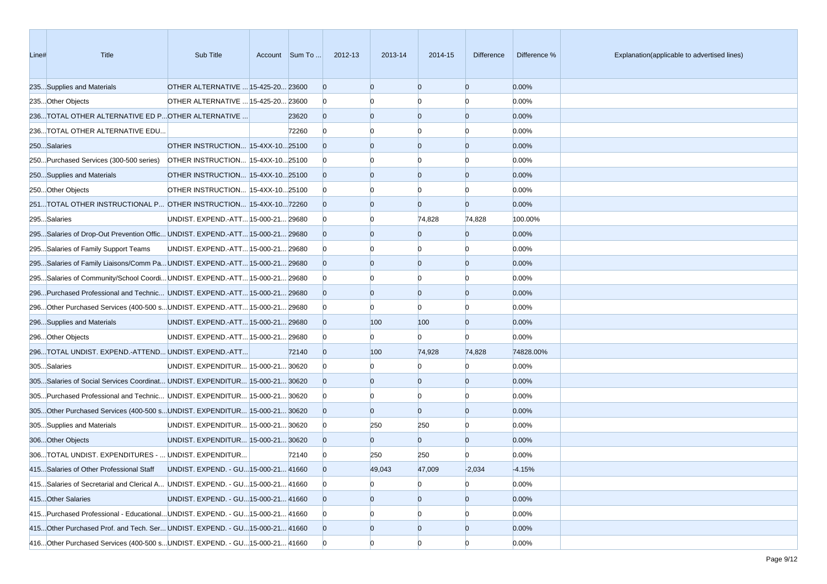| Line# | <b>Title</b>                                                                     | Sub Title                            | Account Sum To | 2012-13        | 2013-14        | 2014-15        | <b>Difference</b> | Difference % | Explanation(applicable to advertised lines) |
|-------|----------------------------------------------------------------------------------|--------------------------------------|----------------|----------------|----------------|----------------|-------------------|--------------|---------------------------------------------|
|       | 235Supplies and Materials                                                        | OTHER ALTERNATIVE  15-425-20 23600   |                | $\overline{0}$ | $\mathbf{0}$   | $\Omega$       | $\overline{0}$    | 0.00%        |                                             |
|       | 235Other Objects                                                                 | OTHER ALTERNATIVE  15-425-20 23600   |                | $\Omega$       |                |                | $\Omega$          | 0.00%        |                                             |
|       | 236TOTAL OTHER ALTERNATIVE ED POTHER ALTERNATIVE                                 |                                      | 23620          | $\Omega$       | $\Omega$       | $\Omega$       | $\overline{0}$    | 0.00%        |                                             |
|       | 236TOTAL OTHER ALTERNATIVE EDU                                                   |                                      | 72260          | $\Omega$       |                | n              | $\Omega$          | 0.00%        |                                             |
|       | 250Salaries                                                                      | OTHER INSTRUCTION 15-4XX-1025100     |                | $\Omega$       | $\Omega$       | $\Omega$       | $\overline{0}$    | 0.00%        |                                             |
|       | 250 Purchased Services (300-500 series)                                          | OTHER INSTRUCTION 15-4XX-1025100     |                | $\Omega$       |                | n              | $\Omega$          | 0.00%        |                                             |
|       | 250Supplies and Materials                                                        | OTHER INSTRUCTION 15-4XX-1025100     |                | $\Omega$       | $\Omega$       | $\bf{0}$       | $\overline{0}$    | 0.00%        |                                             |
|       | 250Other Objects                                                                 | OTHER INSTRUCTION 15-4XX-1025100     |                | $\mathbf{0}$   |                | n              | $\Omega$          | 0.00%        |                                             |
|       | 251. TOTAL OTHER INSTRUCTIONAL P OTHER INSTRUCTION 15-4XX-1072260                |                                      |                | $\Omega$       | n              | $\Omega$       | $\overline{0}$    | 0.00%        |                                             |
|       | 295Salaries                                                                      | UNDIST. EXPEND.-ATT 15-000-21 29680  |                | $\overline{0}$ |                | 74,828         | 74,828            | 100.00%      |                                             |
|       | 295Salaries of Drop-Out Prevention Offic UNDIST. EXPEND.-ATT 15-000-21 29680     |                                      |                |                | $\Omega$       | $\bf{0}$       | $\overline{0}$    | 0.00%        |                                             |
|       | 295Salaries of Family Support Teams                                              | UNDIST. EXPEND.-ATT 15-000-21 29680  |                | $\mathbf{0}$   |                | n              | $\Omega$          | 0.00%        |                                             |
|       | 295Salaries of Family Liaisons/Comm Pa UNDIST. EXPEND.-ATT 15-000-21 29680       |                                      |                | $\Omega$       | $\Omega$       | $\bf{0}$       | $\overline{0}$    | 0.00%        |                                             |
|       | 295Salaries of Community/School CoordiUNDIST. EXPEND.-ATT15-000-2129680          |                                      |                | $\Omega$       |                | n              | $\Omega$          | 0.00%        |                                             |
|       | 296Purchased Professional and Technic UNDIST. EXPEND.-ATT15-000-21 29680         |                                      |                | $\Omega$       | $\Omega$       | $\overline{0}$ | $\overline{0}$    | 0.00%        |                                             |
|       | 296Other Purchased Services (400-500 sUNDIST. EXPEND.-ATT15-000-21 29680         |                                      |                | $\overline{0}$ |                | n              | $\Omega$          | 0.00%        |                                             |
|       | 296Supplies and Materials                                                        | UNDIST. EXPEND.-ATT 15-000-21 29680  |                | $\overline{0}$ | 100            | 100            | $\overline{0}$    | 0.00%        |                                             |
|       | 296Other Objects                                                                 | UNDIST. EXPEND.-ATT 15-000-21 29680  |                | $\Omega$       | <sup>0</sup>   | <sup>0</sup>   | $\Omega$          | 0.00%        |                                             |
|       | 296TOTAL UNDIST. EXPEND.-ATTEND UNDIST. EXPEND.-ATT                              |                                      | 72140          | $\overline{0}$ | 100            | 74,928         | 74,828            | 74828.00%    |                                             |
|       | 305Salaries                                                                      | UNDIST. EXPENDITUR 15-000-21 30620   |                | $\Omega$       | n              | n              | $\Omega$          | 0.00%        |                                             |
|       | 305Salaries of Social Services Coordinat UNDIST. EXPENDITUR 15-000-21 30620      |                                      |                | $\Omega$       | $\Omega$       | $\bf{0}$       | $\overline{0}$    | 0.00%        |                                             |
|       | 305Purchased Professional and Technic UNDIST. EXPENDITUR 15-000-21 30620         |                                      |                | $\Omega$       |                | n              | $\Omega$          | 0.00%        |                                             |
|       | 305Other Purchased Services (400-500 sUNDIST. EXPENDITUR 15-000-21 30620         |                                      |                | $\Omega$       | $\Omega$       | $\Omega$       | $\overline{0}$    | 0.00%        |                                             |
|       | 305Supplies and Materials                                                        | UNDIST. EXPENDITUR 15-000-21 30620   |                | $\overline{0}$ | 250            | 250            | $\Omega$          | 0.00%        |                                             |
|       | 306Other Objects                                                                 | UNDIST. EXPENDITUR 15-000-21 30620   |                | $\Omega$       | $\mathbf{0}$   | $\overline{0}$ | $\overline{0}$    | 0.00%        |                                             |
|       | 306TOTAL UNDIST. EXPENDITURES -  UNDIST. EXPENDITUR                              |                                      | 72140          | $\Omega$       | 250            | 250            | $\Omega$          | 0.00%        |                                             |
|       | 415Salaries of Other Professional Staff                                          | UNDIST. EXPEND. - GU 15-000-21 41660 |                | $\Omega$       | 49,043         | 47,009         | $-2,034$          | $-4.15%$     |                                             |
|       | 415. Salaries of Secretarial and Clerical A UNDIST. EXPEND. - GU 15-000-21 41660 |                                      |                | $\mathbf{0}$   | n              | $\overline{0}$ | $\overline{0}$    | 0.00%        |                                             |
|       | 415Other Salaries                                                                | UNDIST. EXPEND. - GU 15-000-21 41660 |                | $\overline{0}$ | $\overline{0}$ | $\overline{0}$ | $\overline{0}$    | 0.00%        |                                             |
|       | 415Purchased Professional - EducationalUNDIST. EXPEND. - GU15-000-21 41660       |                                      |                | $\mathbf{0}$   |                | 0              | $\overline{0}$    | 0.00%        |                                             |
|       | 415. Other Purchased Prof. and Tech. Ser UNDIST. EXPEND. - GU15-000-21 41660     |                                      |                | $\Omega$       | $\Omega$       | $\mathbf{0}$   | $\overline{0}$    | 0.00%        |                                             |
|       | 416. Other Purchased Services (400-500 s. UNDIST. EXPEND. - GU. 15-000-21 41660  |                                      |                | $\overline{0}$ | n              | $\overline{0}$ | $\overline{0}$    | 0.00%        |                                             |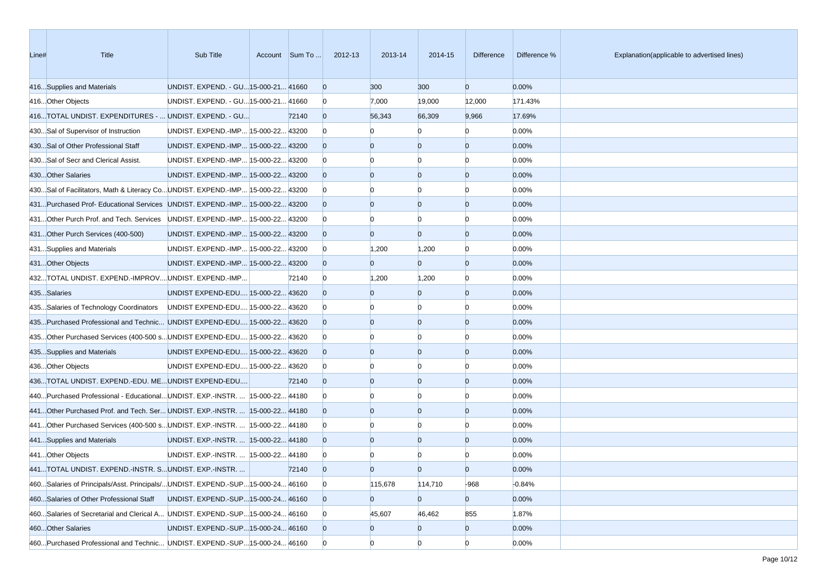| Line# | <b>Title</b>                                                                  | Sub Title                             | Account Sum To | 2012-13        | 2013-14        | 2014-15        | <b>Difference</b> | Difference % | Explanation(applicable to advertised lines) |
|-------|-------------------------------------------------------------------------------|---------------------------------------|----------------|----------------|----------------|----------------|-------------------|--------------|---------------------------------------------|
|       | 416Supplies and Materials                                                     | UNDIST. EXPEND. - GU 15-000-21 41660  |                | $\mathbf{0}$   | 300            | 300            | $\overline{0}$    | 0.00%        |                                             |
|       | 416Other Objects                                                              | UNDIST. EXPEND. - GU 15-000-21 41660  |                | $\mathbf{0}$   | 7,000          | 19,000         | 12,000            | 171.43%      |                                             |
|       | 416TOTAL UNDIST. EXPENDITURES -  UNDIST. EXPEND. - GU                         |                                       | 72140          | $\overline{0}$ | 56,343         | 66,309         | 9,966             | 17.69%       |                                             |
|       | 430Sal of Supervisor of Instruction                                           | UNDIST. EXPEND.-IMP 15-000-22 43200   |                | $\Omega$       |                | n              | $\Omega$          | 0.00%        |                                             |
|       | 430Sal of Other Professional Staff                                            | UNDIST. EXPEND.-IMP 15-000-22 43200   |                | $\Omega$       | $\mathbf{0}$   | $\bf{0}$       | $\overline{0}$    | 0.00%        |                                             |
|       | 430Sal of Secr and Clerical Assist.                                           | UNDIST. EXPEND.-IMP 15-000-22 43200   |                | $\overline{0}$ | n              | n              | $\Omega$          | 0.00%        |                                             |
|       | 430 Other Salaries                                                            | UNDIST. EXPEND.-IMP 15-000-22 43200   |                | $\Omega$       | $\Omega$       | $\overline{0}$ | $\overline{0}$    | 0.00%        |                                             |
|       | 430Sal of Facilitators, Math & Literacy CoUNDIST. EXPEND.-IMP 15-000-22 43200 |                                       |                | $\Omega$       |                | n              | $\Omega$          | 0.00%        |                                             |
|       | 431Purchased Prof- Educational Services UNDIST. EXPEND.-IMP 15-000-22 43200   |                                       |                | $\Omega$       | $\Omega$       | $\Omega$       | $\overline{0}$    | 0.00%        |                                             |
|       | 431Other Purch Prof. and Tech. Services UNDIST. EXPEND.-IMP 15-000-22 43200   |                                       |                | $\Omega$       |                | n              | $\Omega$          | 0.00%        |                                             |
|       | 431Other Purch Services (400-500)                                             | UNDIST. EXPEND.-IMP 15-000-22 43200   |                | $\Omega$       | $\Omega$       | $\Omega$       | $\overline{0}$    | 0.00%        |                                             |
|       | 431Supplies and Materials                                                     | UNDIST. EXPEND.-IMP 15-000-22 43200   |                | $\mathbf{0}$   | 1,200          | 1,200          | $\overline{0}$    | 0.00%        |                                             |
|       | 431Other Objects                                                              | UNDIST. EXPEND.-IMP 15-000-22 43200   |                | $\overline{0}$ | $\Omega$       | 0              | $\overline{0}$    | 0.00%        |                                             |
|       | 432TOTAL UNDIST. EXPEND.-IMPROVUNDIST. EXPEND.-IMP                            |                                       | 72140          | $\bf{0}$       | 1,200          | 1,200          | $\overline{0}$    | 0.00%        |                                             |
|       | 435Salaries                                                                   | UNDIST EXPEND-EDU 15-000-22 43620     |                | $\Omega$       | $\Omega$       | $\overline{0}$ | $\overline{0}$    | 0.00%        |                                             |
|       | 435Salaries of Technology Coordinators                                        | UNDIST EXPEND-EDU 15-000-22 43620     |                | <sup>0</sup>   |                | n              | $\Omega$          | 0.00%        |                                             |
|       | 435Purchased Professional and Technic UNDIST EXPEND-EDU 15-000-22 43620       |                                       |                | $\Omega$       | $\Omega$       | $\Omega$       | $\overline{0}$    | 0.00%        |                                             |
|       | 435Other Purchased Services (400-500 sUNDIST EXPEND-EDU 15-000-22 43620       |                                       |                | $\Omega$       |                | n              | $\Omega$          | 0.00%        |                                             |
|       | 435Supplies and Materials                                                     | UNDIST EXPEND-EDU 15-000-22 43620     |                | $\Omega$       | $\Omega$       | $\overline{0}$ | $\overline{0}$    | 0.00%        |                                             |
|       | 436Other Objects                                                              | UNDIST EXPEND-EDU 15-000-22 43620     |                | $\Omega$       |                | n              | $\Omega$          | 0.00%        |                                             |
|       | 436TOTAL UNDIST. EXPEND.-EDU. MEUNDIST EXPEND-EDU                             |                                       | 72140          | $\Omega$       | $\Omega$       | $\bf{0}$       | $\overline{0}$    | 0.00%        |                                             |
|       | 440Purchased Professional - EducationalUNDIST. EXP.-INSTR.  15-000-22 44180   |                                       |                | $\Omega$       |                | n              | $\Omega$          | 0.00%        |                                             |
|       | 441Other Purchased Prof. and Tech. Ser UNDIST. EXP.-INSTR.  15-000-22 44180   |                                       |                | $\Omega$       | $\Omega$       | $\Omega$       | $\overline{0}$    | 0.00%        |                                             |
|       | 441Other Purchased Services (400-500 sUNDIST. EXP.-INSTR.  15-000-22 44180    |                                       |                | $\overline{0}$ |                | n              | $\Omega$          | 0.00%        |                                             |
|       | 441Supplies and Materials                                                     | UNDIST. EXP.-INSTR.   15-000-22 44180 |                | $\Omega$       | $\Omega$       | $\Omega$       | $\overline{0}$    | 0.00%        |                                             |
|       | 441Other Objects                                                              | UNDIST. EXP.-INSTR.   15-000-22 44180 |                |                |                | n              | <sup>0</sup>      | 0.00%        |                                             |
|       | 441TOTAL UNDIST. EXPEND.-INSTR. SUNDIST. EXP.-INSTR.                          |                                       | 72140          | $\Omega$       | $\Omega$       | n              | $\Omega$          | 0.00%        |                                             |
|       | 460Salaries of Principals/Asst. Principals/UNDIST. EXPEND.-SUP15-000-24 46160 |                                       |                | $\overline{0}$ | 115,678        | 114,710        | $-968$            | $-0.84%$     |                                             |
|       | 460Salaries of Other Professional Staff                                       | UNDIST. EXPEND.-SUP15-000-24 46160    |                | $\overline{0}$ | $\overline{0}$ | $\overline{0}$ | $\mathbf{0}$      | 0.00%        |                                             |
|       | 460Salaries of Secretarial and Clerical A UNDIST. EXPEND.-SUP15-000-24 46160  |                                       |                | $\mathbf{0}$   | 45,607         | 46,462         | 855               | 1.87%        |                                             |
|       | 460 Other Salaries                                                            | UNDIST. EXPEND.-SUP15-000-24 46160    |                | $\overline{0}$ | $\overline{0}$ | $\mathbf{0}$   | $\mathbf{0}$      | 0.00%        |                                             |
|       | 460Purchased Professional and Technic UNDIST. EXPEND.-SUP15-000-24 46160      |                                       |                | $\overline{0}$ | $\Omega$       | $\overline{0}$ | $\overline{0}$    | 0.00%        |                                             |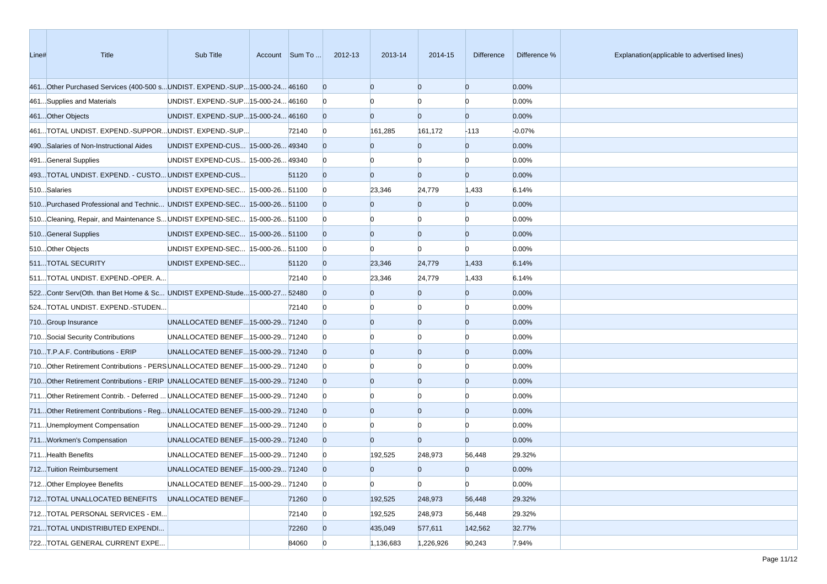| Line# | <b>Title</b>                                                              | Sub Title                           | Account Sum To | 2012-13        | 2013-14        | 2014-15        | <b>Difference</b> | Difference % | Explanation(applicable to advertised lines) |
|-------|---------------------------------------------------------------------------|-------------------------------------|----------------|----------------|----------------|----------------|-------------------|--------------|---------------------------------------------|
|       | 461Other Purchased Services (400-500 sUNDIST. EXPEND.-SUP15-000-24 46160  |                                     |                | $\Omega$       | $\overline{0}$ | $\overline{0}$ | $\overline{0}$    | 0.00%        |                                             |
|       | 461Supplies and Materials                                                 | UNDIST. EXPEND.-SUP15-000-24 46160  |                |                |                | n              |                   | 0.00%        |                                             |
|       | 461Other Objects                                                          | UNDIST. EXPEND.-SUP 15-000-24 46160 |                |                | $\overline{0}$ | $\overline{0}$ | $\overline{0}$    | 0.00%        |                                             |
|       | 461TOTAL UNDIST. EXPEND.-SUPPORUNDIST. EXPEND.-SUP                        |                                     | 72140          | $\Omega$       | 161,285        | 161,172        | $-113$            | $-0.07%$     |                                             |
|       | 490Salaries of Non-Instructional Aides                                    | UNDIST EXPEND-CUS 15-000-26 49340   |                |                | $\overline{0}$ | $\overline{0}$ | $\overline{0}$    | 0.00%        |                                             |
|       | 491General Supplies                                                       | UNDIST EXPEND-CUS 15-000-26 49340   |                | n              | n              | $\mathbf{0}$   | $\Omega$          | 0.00%        |                                             |
|       | 493TOTAL UNDIST. EXPEND. - CUSTO UNDIST EXPEND-CUS                        |                                     | 51120          | $\Omega$       | $\overline{0}$ | $\overline{0}$ | $\overline{0}$    | 0.00%        |                                             |
|       | 510Salaries                                                               | UNDIST EXPEND-SEC  15-000-26 51100  |                | $\Omega$       | 23,346         | 24,779         | 1,433             | 6.14%        |                                             |
|       | 510Purchased Professional and Technic UNDIST EXPEND-SEC 15-000-26 51100   |                                     |                |                | $\Omega$       | 0              | $\overline{0}$    | 0.00%        |                                             |
|       | 510Cleaning, Repair, and Maintenance S UNDIST EXPEND-SEC 15-000-26 51100  |                                     |                |                |                | <sup>0</sup>   | n                 | 0.00%        |                                             |
|       | 510General Supplies                                                       | UNDIST EXPEND-SEC  15-000-26 51100  |                |                | $\overline{0}$ | $\overline{0}$ | $\overline{0}$    | 0.00%        |                                             |
|       | 510 Other Objects                                                         | UNDIST EXPEND-SEC  15-000-26 51100  |                | $\bf{0}$       |                | $\mathbf{0}$   | $\Omega$          | 0.00%        |                                             |
|       | 511TOTAL SECURITY                                                         | UNDIST EXPEND-SEC                   | 51120          | $\Omega$       | 23,346         | 24,779         | 1,433             | 6.14%        |                                             |
|       | 511TOTAL UNDIST. EXPEND.-OPER. A                                          |                                     | 72140          | $\bf{0}$       | 23,346         | 24,779         | 1,433             | 6.14%        |                                             |
|       | 522Contr Serv(Oth. than Bet Home & Sc UNDIST EXPEND-Stude15-000-27 52480  |                                     |                |                | $\mathbf{0}$   | $\overline{0}$ | $\overline{0}$    | 0.00%        |                                             |
|       | 524TOTAL UNDIST. EXPEND.-STUDEN                                           |                                     | 72140          | n              |                | 0              | n                 | 0.00%        |                                             |
|       | 710Group Insurance                                                        | UNALLOCATED BENEF 15-000-29 71240   |                |                | $\Omega$       | $\overline{0}$ | $\overline{0}$    | 0.00%        |                                             |
|       | 710Social Security Contributions                                          | UNALLOCATED BENEF 15-000-29 71240   |                | $\Omega$       |                | n              |                   | 0.00%        |                                             |
|       | 710T.P.A.F. Contributions - ERIP                                          | UNALLOCATED BENEF 15-000-29 71240   |                |                | $\Omega$       | $\overline{0}$ | $\overline{0}$    | 0.00%        |                                             |
|       | 710Other Retirement Contributions - PERSUNALLOCATED BENEF15-000-29 71240  |                                     |                | $\Omega$       |                | <sup>0</sup>   | n                 | 0.00%        |                                             |
|       | 710Other Retirement Contributions - ERIP UNALLOCATED BENEF15-000-29 71240 |                                     |                |                | $\overline{0}$ | $\overline{0}$ | $\overline{0}$    | 0.00%        |                                             |
|       | 711Other Retirement Contrib. - Deferred  UNALLOCATED BENEF15-000-29 71240 |                                     |                | $\Omega$       |                | <sup>0</sup>   | n                 | 0.00%        |                                             |
|       | 711Other Retirement Contributions - Reg UNALLOCATED BENEF15-000-29 71240  |                                     |                |                | $\overline{0}$ | $\overline{0}$ | $\overline{0}$    | 0.00%        |                                             |
|       | 711 Unemployment Compensation                                             | UNALLOCATED BENEF 15-000-29 71240   |                | $\bf{0}$       |                | <sup>0</sup>   |                   | 0.00%        |                                             |
|       | 711 Workmen's Compensation                                                | UNALLOCATED BENEF 15-000-29 71240   |                | $\Omega$       | $\overline{0}$ | $\overline{0}$ | $\overline{0}$    | 0.00%        |                                             |
|       | 711Health Benefits                                                        | UNALLOCATED BENEF 15-000-29 71240   |                | $\Omega$       | 192,525        | 248,973        | 56,448            | 29.32%       |                                             |
|       | 712Tuition Reimbursement                                                  | UNALLOCATED BENEF 15-000-29 71240   |                |                | $\Omega$       | $\overline{0}$ | $\Omega$          | 0.00%        |                                             |
|       | 712 Other Employee Benefits                                               | UNALLOCATED BENEF 15-000-29 71240   |                | $\overline{0}$ | $\mathbf{0}$   | $\overline{0}$ | $\mathbf{0}$      | 0.00%        |                                             |
|       | 712TOTAL UNALLOCATED BENEFITS                                             | UNALLOCATED BENEF                   | 71260          | $\mathbf{0}$   | 192,525        | 248,973        | 56,448            | 29.32%       |                                             |
|       | 712TOTAL PERSONAL SERVICES - EM                                           |                                     | 72140          | $\bf{0}$       | 192,525        | 248,973        | 56,448            | 29.32%       |                                             |
|       | 721TOTAL UNDISTRIBUTED EXPENDI                                            |                                     | 72260          | $\mathbf{0}$   | 435,049        | 577,611        | 142,562           | 32.77%       |                                             |
|       | 722TOTAL GENERAL CURRENT EXPE                                             |                                     | 84060          | $\bf{0}$       | 1,136,683      | 1,226,926      | 90,243            | 7.94%        |                                             |